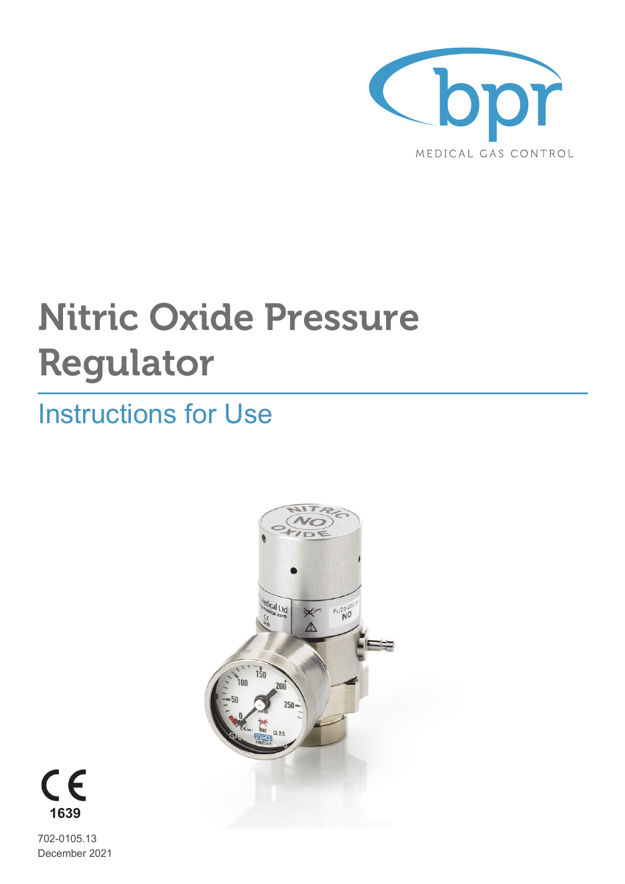

# **Nitric Oxide Pressure Regulator**

## Instructions for Use





702-0105.13 December 2021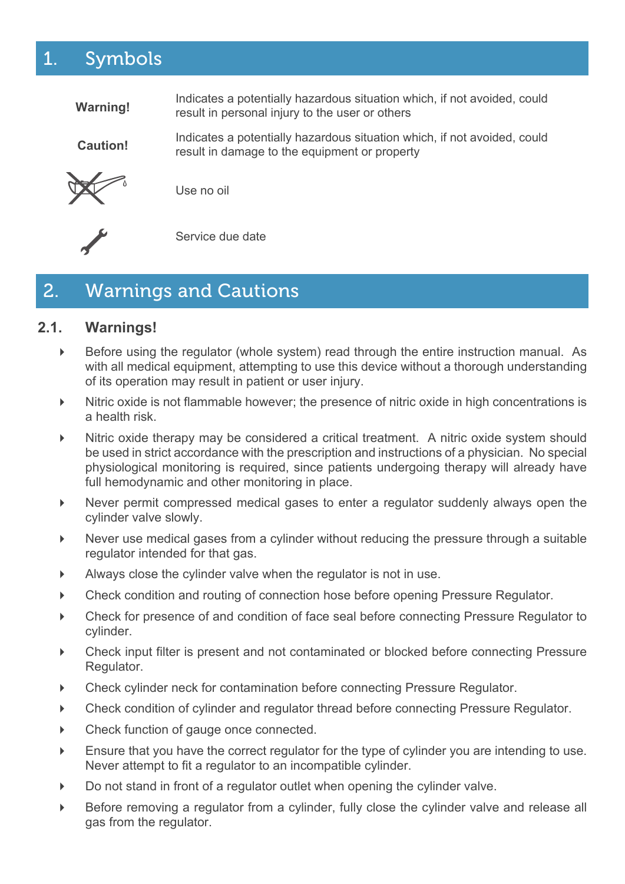## 1. Symbols

- **Warning!** Indicates a potentially hazardous situation which, if not avoided, could require to the user of others result in personal injury to the user or others
- **Caution!** Indicates a potentially hazardous situation which, if not avoided, could result in damage to the equipment or property



Use no oil

Service due date

## 2. Warnings and Cautions

#### **2.1. Warnings!**

- ▶ Before using the regulator (whole system) read through the entire instruction manual. As with all medical equipment, attempting to use this device without a thorough understanding of its operation may result in patient or user injury.
- Nitric oxide is not flammable however; the presence of nitric oxide in high concentrations is a health risk.
- Nitric oxide therapy may be considered a critical treatment. A nitric oxide system should be used in strict accordance with the prescription and instructions of a physician. No special physiological monitoring is required, since patients undergoing therapy will already have full hemodynamic and other monitoring in place.
- Never permit compressed medical gases to enter a regulator suddenly always open the cylinder valve slowly.
- Never use medical gases from a cylinder without reducing the pressure through a suitable regulator intended for that gas.
- Always close the cylinder valve when the regulator is not in use.
- Check condition and routing of connection hose before opening Pressure Regulator.
- Check for presence of and condition of face seal before connecting Pressure Regulator to cylinder.
- Check input filter is present and not contaminated or blocked before connecting Pressure Regulator.
- Check cylinder neck for contamination before connecting Pressure Regulator.
- Check condition of cylinder and regulator thread before connecting Pressure Regulator.
- ▶ Check function of gauge once connected.
- **Ensure that you have the correct regulator for the type of cylinder you are intending to use.** Never attempt to fit a regulator to an incompatible cylinder.
- Do not stand in front of a regulator outlet when opening the cylinder valve.
- Before removing a regulator from a cylinder, fully close the cylinder valve and release all gas from the regulator.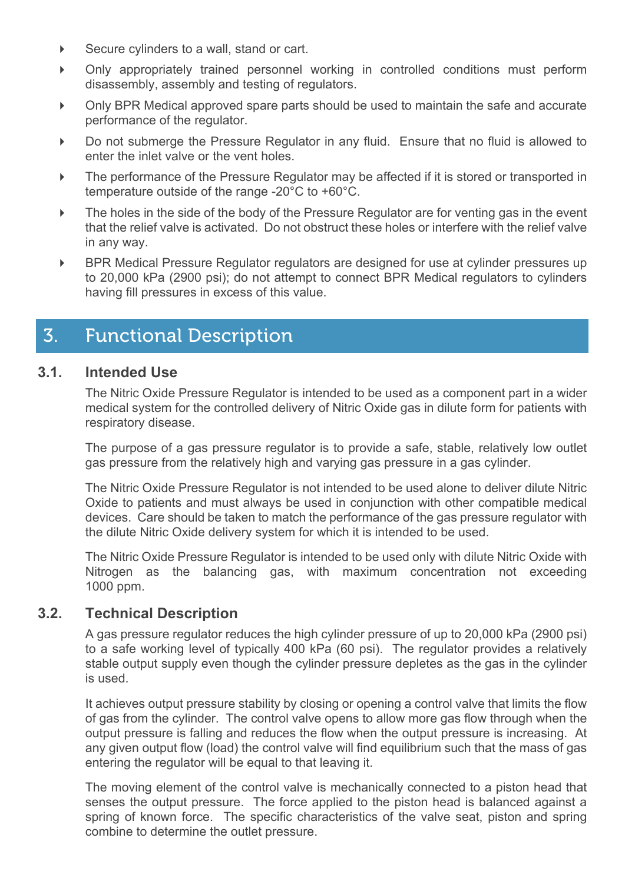- ▶ Secure cylinders to a wall, stand or cart.
- Only appropriately trained personnel working in controlled conditions must perform disassembly, assembly and testing of regulators.
- Only BPR Medical approved spare parts should be used to maintain the safe and accurate performance of the regulator.
- Do not submerge the Pressure Regulator in any fluid. Ensure that no fluid is allowed to enter the inlet valve or the vent holes.
- The performance of the Pressure Regulator may be affected if it is stored or transported in temperature outside of the range -20°C to +60°C.
- The holes in the side of the body of the Pressure Regulator are for venting gas in the event that the relief valve is activated. Do not obstruct these holes or interfere with the relief valve in any way.
- ▶ BPR Medical Pressure Regulator regulators are designed for use at cylinder pressures up to 20,000 kPa (2900 psi); do not attempt to connect BPR Medical regulators to cylinders having fill pressures in excess of this value.

## 3. Functional Description

#### **3.1. Intended Use**

The Nitric Oxide Pressure Regulator is intended to be used as a component part in a wider medical system for the controlled delivery of Nitric Oxide gas in dilute form for patients with respiratory disease.

The purpose of a gas pressure regulator is to provide a safe, stable, relatively low outlet gas pressure from the relatively high and varying gas pressure in a gas cylinder.

The Nitric Oxide Pressure Regulator is not intended to be used alone to deliver dilute Nitric Oxide to patients and must always be used in conjunction with other compatible medical devices. Care should be taken to match the performance of the gas pressure regulator with the dilute Nitric Oxide delivery system for which it is intended to be used.

The Nitric Oxide Pressure Regulator is intended to be used only with dilute Nitric Oxide with Nitrogen as the balancing gas, with maximum concentration not exceeding 1000 ppm.

#### **3.2. Technical Description**

A gas pressure regulator reduces the high cylinder pressure of up to 20,000 kPa (2900 psi) to a safe working level of typically 400 kPa (60 psi). The regulator provides a relatively stable output supply even though the cylinder pressure depletes as the gas in the cylinder is used.

It achieves output pressure stability by closing or opening a control valve that limits the flow of gas from the cylinder. The control valve opens to allow more gas flow through when the output pressure is falling and reduces the flow when the output pressure is increasing. At any given output flow (load) the control valve will find equilibrium such that the mass of gas entering the regulator will be equal to that leaving it.

The moving element of the control valve is mechanically connected to a piston head that senses the output pressure. The force applied to the piston head is balanced against a spring of known force. The specific characteristics of the valve seat, piston and spring combine to determine the outlet pressure.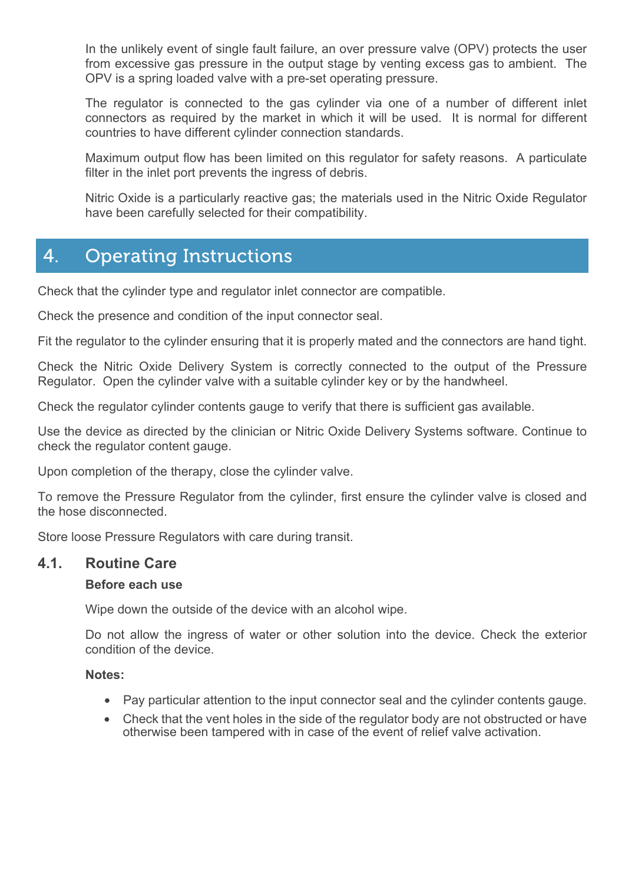In the unlikely event of single fault failure, an over pressure valve (OPV) protects the user from excessive gas pressure in the output stage by venting excess gas to ambient. The OPV is a spring loaded valve with a pre-set operating pressure.

The regulator is connected to the gas cylinder via one of a number of different inlet connectors as required by the market in which it will be used. It is normal for different countries to have different cylinder connection standards.

Maximum output flow has been limited on this regulator for safety reasons. A particulate filter in the inlet port prevents the ingress of debris.

Nitric Oxide is a particularly reactive gas; the materials used in the Nitric Oxide Regulator have been carefully selected for their compatibility.

## 4. Operating Instructions

Check that the cylinder type and regulator inlet connector are compatible.

Check the presence and condition of the input connector seal.

Fit the regulator to the cylinder ensuring that it is properly mated and the connectors are hand tight.

Check the Nitric Oxide Delivery System is correctly connected to the output of the Pressure Regulator. Open the cylinder valve with a suitable cylinder key or by the handwheel.

Check the regulator cylinder contents gauge to verify that there is sufficient gas available.

Use the device as directed by the clinician or Nitric Oxide Delivery Systems software. Continue to check the regulator content gauge.

Upon completion of the therapy, close the cylinder valve.

To remove the Pressure Regulator from the cylinder, first ensure the cylinder valve is closed and the hose disconnected.

Store loose Pressure Regulators with care during transit.

#### **4.1. Routine Care**

#### **Before each use**

Wipe down the outside of the device with an alcohol wipe.

Do not allow the ingress of water or other solution into the device. Check the exterior condition of the device.

#### **Notes:**

- Pay particular attention to the input connector seal and the cylinder contents gauge.
- Check that the vent holes in the side of the regulator body are not obstructed or have otherwise been tampered with in case of the event of relief valve activation.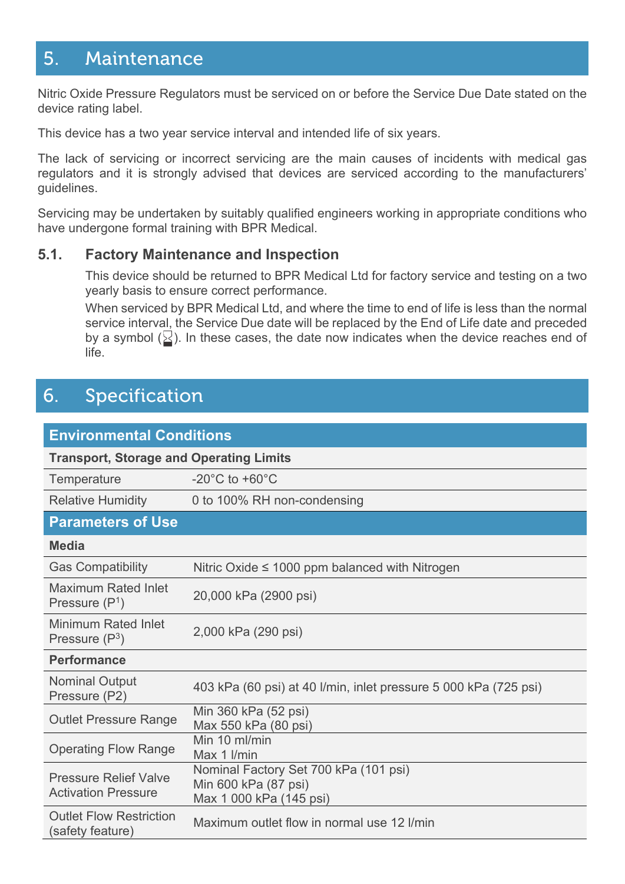## 5. Maintenance

Nitric Oxide Pressure Regulators must be serviced on or before the Service Due Date stated on the device rating label.

This device has a two year service interval and intended life of six years.

The lack of servicing or incorrect servicing are the main causes of incidents with medical gas regulators and it is strongly advised that devices are serviced according to the manufacturers' guidelines.

Servicing may be undertaken by suitably qualified engineers working in appropriate conditions who have undergone formal training with BPR Medical.

#### **5.1. Factory Maintenance and Inspection**

This device should be returned to BPR Medical Ltd for factory service and testing on a two yearly basis to ensure correct performance.

When serviced by BPR Medical Ltd, and where the time to end of life is less than the normal service interval, the Service Due date will be replaced by the End of Life date and preceded by a symbol  $(\le)$ . In these cases, the date now indicates when the device reaches end of life.

### 6. Specification

| <b>Environmental Conditions</b>                            |                                                                                          |  |  |
|------------------------------------------------------------|------------------------------------------------------------------------------------------|--|--|
| <b>Transport, Storage and Operating Limits</b>             |                                                                                          |  |  |
| Temperature                                                | -20 $^{\circ}$ C to +60 $^{\circ}$ C                                                     |  |  |
| <b>Relative Humidity</b>                                   | 0 to 100% RH non-condensing                                                              |  |  |
| <b>Parameters of Use</b>                                   |                                                                                          |  |  |
| <b>Media</b>                                               |                                                                                          |  |  |
| <b>Gas Compatibility</b>                                   | Nitric Oxide $\leq$ 1000 ppm balanced with Nitrogen                                      |  |  |
| <b>Maximum Rated Inlet</b><br>Pressure $(P1)$              | 20,000 kPa (2900 psi)                                                                    |  |  |
| <b>Minimum Rated Inlet</b><br>Pressure $(P3)$              | 2,000 kPa (290 psi)                                                                      |  |  |
| <b>Performance</b>                                         |                                                                                          |  |  |
| Nominal Output<br>Pressure (P2)                            | 403 kPa (60 psi) at 40 l/min, inlet pressure 5 000 kPa (725 psi)                         |  |  |
| <b>Outlet Pressure Range</b>                               | Min 360 kPa (52 psi)<br>Max 550 kPa (80 psi)                                             |  |  |
| <b>Operating Flow Range</b>                                | Min 10 ml/min<br>Max 1 I/min                                                             |  |  |
| <b>Pressure Relief Valve</b><br><b>Activation Pressure</b> | Nominal Factory Set 700 kPa (101 psi)<br>Min 600 kPa (87 psi)<br>Max 1 000 kPa (145 psi) |  |  |
| <b>Outlet Flow Restriction</b><br>(safety feature)         | Maximum outlet flow in normal use 12 I/min                                               |  |  |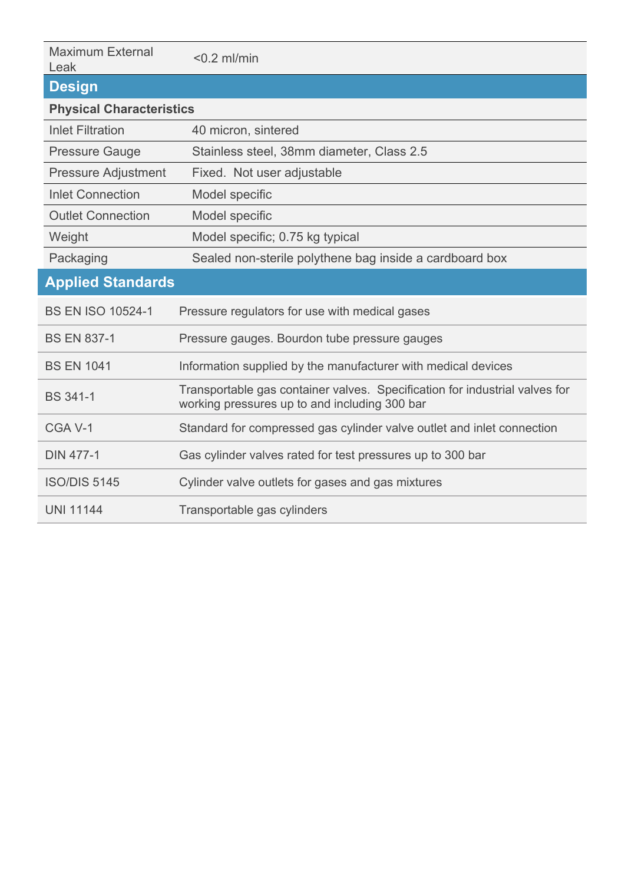| <b>Maximum External</b><br>Leak | $< 0.2$ ml/min                                                                                                               |  |
|---------------------------------|------------------------------------------------------------------------------------------------------------------------------|--|
| <b>Design</b>                   |                                                                                                                              |  |
| <b>Physical Characteristics</b> |                                                                                                                              |  |
| <b>Inlet Filtration</b>         | 40 micron, sintered                                                                                                          |  |
| <b>Pressure Gauge</b>           | Stainless steel, 38mm diameter, Class 2.5                                                                                    |  |
| <b>Pressure Adjustment</b>      | Fixed. Not user adjustable                                                                                                   |  |
| <b>Inlet Connection</b>         | Model specific                                                                                                               |  |
| <b>Outlet Connection</b>        | Model specific                                                                                                               |  |
| Weight                          | Model specific; 0.75 kg typical                                                                                              |  |
| Packaging                       | Sealed non-sterile polythene bag inside a cardboard box                                                                      |  |
| <b>Applied Standards</b>        |                                                                                                                              |  |
| <b>BS EN ISO 10524-1</b>        | Pressure regulators for use with medical gases                                                                               |  |
| <b>BS EN 837-1</b>              | Pressure gauges. Bourdon tube pressure gauges                                                                                |  |
| <b>BS EN 1041</b>               | Information supplied by the manufacturer with medical devices                                                                |  |
| <b>BS 341-1</b>                 | Transportable gas container valves. Specification for industrial valves for<br>working pressures up to and including 300 bar |  |
| CGA V-1                         | Standard for compressed gas cylinder valve outlet and inlet connection                                                       |  |
| <b>DIN 477-1</b>                | Gas cylinder valves rated for test pressures up to 300 bar                                                                   |  |
| <b>ISO/DIS 5145</b>             | Cylinder valve outlets for gases and gas mixtures                                                                            |  |
| <b>UNI 11144</b>                | Transportable gas cylinders                                                                                                  |  |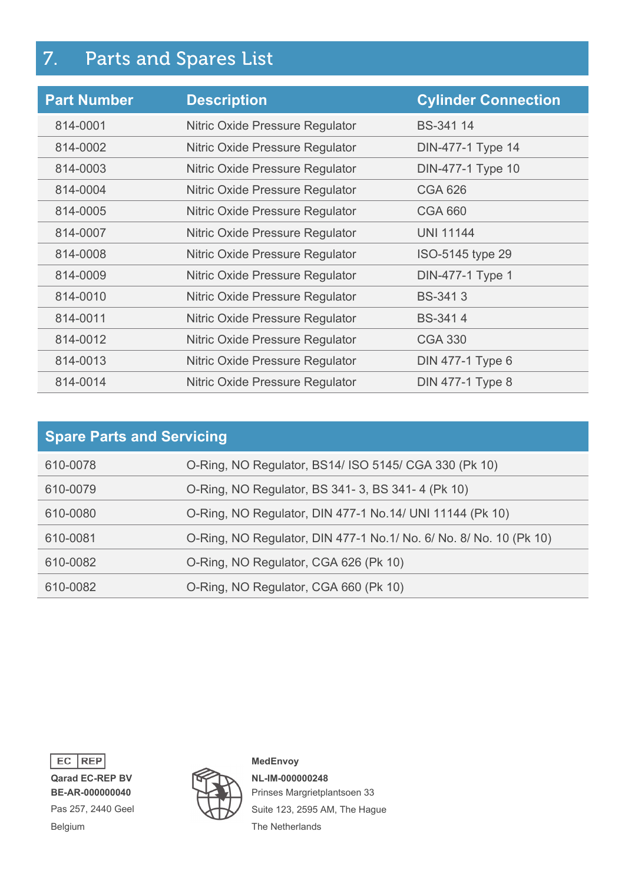## 7. Parts and Spares List

| <b>Part Number</b> | <b>Description</b>              | <b>Cylinder Connection</b> |
|--------------------|---------------------------------|----------------------------|
| 814-0001           | Nitric Oxide Pressure Regulator | BS-341 14                  |
| 814-0002           | Nitric Oxide Pressure Regulator | DIN-477-1 Type 14          |
| 814-0003           | Nitric Oxide Pressure Regulator | DIN-477-1 Type 10          |
| 814-0004           | Nitric Oxide Pressure Regulator | <b>CGA 626</b>             |
| 814-0005           | Nitric Oxide Pressure Regulator | <b>CGA 660</b>             |
| 814-0007           | Nitric Oxide Pressure Regulator | <b>UNI 11144</b>           |
| 814-0008           | Nitric Oxide Pressure Regulator | ISO-5145 type 29           |
| 814-0009           | Nitric Oxide Pressure Regulator | DIN-477-1 Type 1           |
| 814-0010           | Nitric Oxide Pressure Regulator | <b>BS-3413</b>             |
| 814-0011           | Nitric Oxide Pressure Regulator | <b>BS-3414</b>             |
| 814-0012           | Nitric Oxide Pressure Regulator | <b>CGA 330</b>             |
| 814-0013           | Nitric Oxide Pressure Regulator | DIN 477-1 Type 6           |
| 814-0014           | Nitric Oxide Pressure Regulator | <b>DIN 477-1 Type 8</b>    |

| <b>Spare Parts and Servicing</b> |                                                                    |  |
|----------------------------------|--------------------------------------------------------------------|--|
| 610-0078                         | O-Ring, NO Regulator, BS14/ ISO 5145/ CGA 330 (Pk 10)              |  |
| 610-0079                         | O-Ring, NO Regulator, BS 341-3, BS 341-4 (Pk 10)                   |  |
| 610-0080                         | O-Ring, NO Regulator, DIN 477-1 No.14/ UNI 11144 (Pk 10)           |  |
| 610-0081                         | O-Ring, NO Regulator, DIN 477-1 No.1/ No. 6/ No. 8/ No. 10 (Pk 10) |  |
| 610-0082                         | O-Ring, NO Regulator, CGA 626 (Pk 10)                              |  |
| 610-0082                         | O-Ring, NO Regulator, CGA 660 (Pk 10)                              |  |

EC REP

**Qarad EC-REP BV BE-AR-000000040** 



 **MedEnvoy NL-IM-000000248**  Prinses Margrietplantsoen 33 Pas 257, 2440 Geel **Suite 123, 2595 AM, The Hague** Belgium The Netherlands